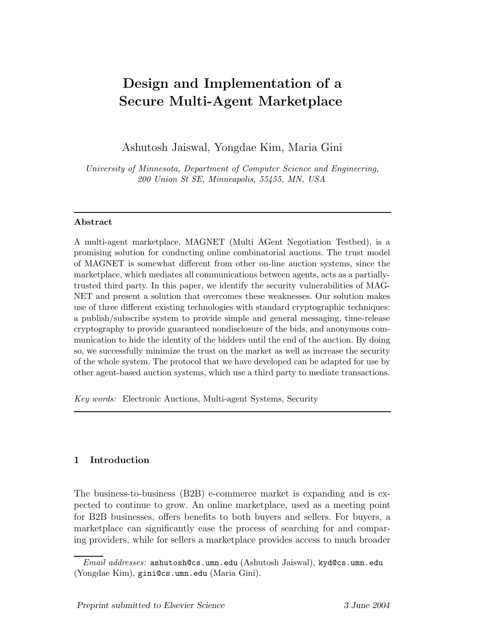# Design and Implementation of a Secure Multi-Agent Marketplace

Ashutosh Jaiswal, Yongdae Kim, Maria Gini

University of Minnesota, Department of Computer Science and Engineering, 200 Union St SE, Minneapolis, 55455, MN, USA

## Abstract

A multi-agent marketplace, MAGNET (Multi AGent Negotiation Testbed), is a promising solution for conducting online combinatorial auctions. The trust model of MAGNET is somewhat different from other on-line auction systems, since the marketplace, which mediates all communications between agents, acts as a partiallytrusted third party. In this paper, we identify the security vulnerabilities of MAG-NET and present a solution that overcomes these weaknesses. Our solution makes use of three different existing technologies with standard cryptographic techniques: a publish/subscribe system to provide simple and general messaging, time-release cryptography to provide guaranteed nondisclosure of the bids, and anonymous communication to hide the identity of the bidders until the end of the auction. By doing so, we successfully minimize the trust on the market as well as increase the security of the whole system. The protocol that we have developed can be adapted for use by other agent-based auction systems, which use a third party to mediate transactions.

Key words: Electronic Auctions, Multi-agent Systems, Security

# 1 Introduction

The business-to-business (B2B) e-commerce market is expanding and is expected to continue to grow. An online marketplace, used as a meeting point for B2B businesses, offers benefits to both buyers and sellers. For buyers, a marketplace can significantly ease the process of searching for and comparing providers, while for sellers a marketplace provides access to much broader

Email addresses: ashutosh@cs.umn.edu (Ashutosh Jaiswal), kyd@cs.umn.edu (Yongdae Kim), gini@cs.umn.edu (Maria Gini).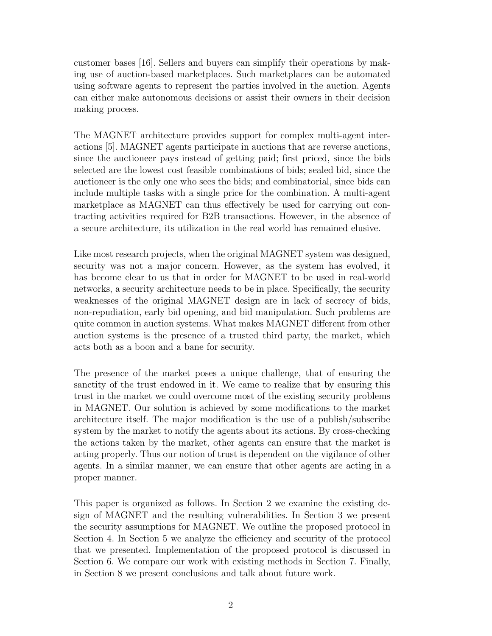customer bases [16]. Sellers and buyers can simplify their operations by making use of auction-based marketplaces. Such marketplaces can be automated using software agents to represent the parties involved in the auction. Agents can either make autonomous decisions or assist their owners in their decision making process.

The MAGNET architecture provides support for complex multi-agent interactions [5]. MAGNET agents participate in auctions that are reverse auctions, since the auctioneer pays instead of getting paid; first priced, since the bids selected are the lowest cost feasible combinations of bids; sealed bid, since the auctioneer is the only one who sees the bids; and combinatorial, since bids can include multiple tasks with a single price for the combination. A multi-agent marketplace as MAGNET can thus effectively be used for carrying out contracting activities required for B2B transactions. However, in the absence of a secure architecture, its utilization in the real world has remained elusive.

Like most research projects, when the original MAGNET system was designed, security was not a major concern. However, as the system has evolved, it has become clear to us that in order for MAGNET to be used in real-world networks, a security architecture needs to be in place. Specifically, the security weaknesses of the original MAGNET design are in lack of secrecy of bids, non-repudiation, early bid opening, and bid manipulation. Such problems are quite common in auction systems. What makes MAGNET different from other auction systems is the presence of a trusted third party, the market, which acts both as a boon and a bane for security.

The presence of the market poses a unique challenge, that of ensuring the sanctity of the trust endowed in it. We came to realize that by ensuring this trust in the market we could overcome most of the existing security problems in MAGNET. Our solution is achieved by some modifications to the market architecture itself. The major modification is the use of a publish/subscribe system by the market to notify the agents about its actions. By cross-checking the actions taken by the market, other agents can ensure that the market is acting properly. Thus our notion of trust is dependent on the vigilance of other agents. In a similar manner, we can ensure that other agents are acting in a proper manner.

This paper is organized as follows. In Section 2 we examine the existing design of MAGNET and the resulting vulnerabilities. In Section 3 we present the security assumptions for MAGNET. We outline the proposed protocol in Section 4. In Section 5 we analyze the efficiency and security of the protocol that we presented. Implementation of the proposed protocol is discussed in Section 6. We compare our work with existing methods in Section 7. Finally, in Section 8 we present conclusions and talk about future work.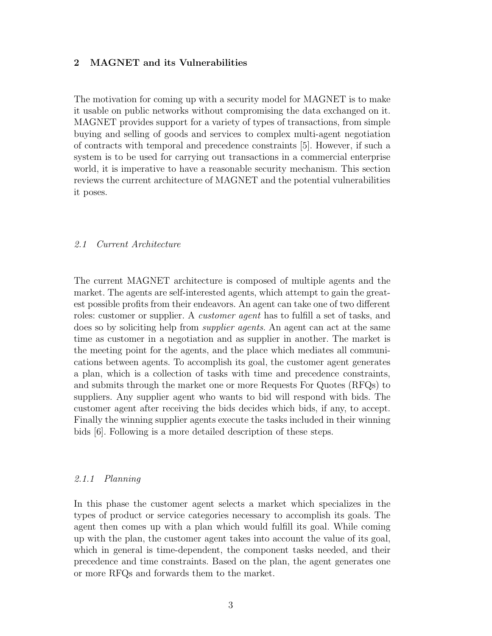## 2 MAGNET and its Vulnerabilities

The motivation for coming up with a security model for MAGNET is to make it usable on public networks without compromising the data exchanged on it. MAGNET provides support for a variety of types of transactions, from simple buying and selling of goods and services to complex multi-agent negotiation of contracts with temporal and precedence constraints [5]. However, if such a system is to be used for carrying out transactions in a commercial enterprise world, it is imperative to have a reasonable security mechanism. This section reviews the current architecture of MAGNET and the potential vulnerabilities it poses.

## 2.1 Current Architecture

The current MAGNET architecture is composed of multiple agents and the market. The agents are self-interested agents, which attempt to gain the greatest possible profits from their endeavors. An agent can take one of two different roles: customer or supplier. A *customer agent* has to fulfill a set of tasks, and does so by soliciting help from supplier agents. An agent can act at the same time as customer in a negotiation and as supplier in another. The market is the meeting point for the agents, and the place which mediates all communications between agents. To accomplish its goal, the customer agent generates a plan, which is a collection of tasks with time and precedence constraints, and submits through the market one or more Requests For Quotes (RFQs) to suppliers. Any supplier agent who wants to bid will respond with bids. The customer agent after receiving the bids decides which bids, if any, to accept. Finally the winning supplier agents execute the tasks included in their winning bids [6]. Following is a more detailed description of these steps.

#### 2.1.1 Planning

In this phase the customer agent selects a market which specializes in the types of product or service categories necessary to accomplish its goals. The agent then comes up with a plan which would fulfill its goal. While coming up with the plan, the customer agent takes into account the value of its goal, which in general is time-dependent, the component tasks needed, and their precedence and time constraints. Based on the plan, the agent generates one or more RFQs and forwards them to the market.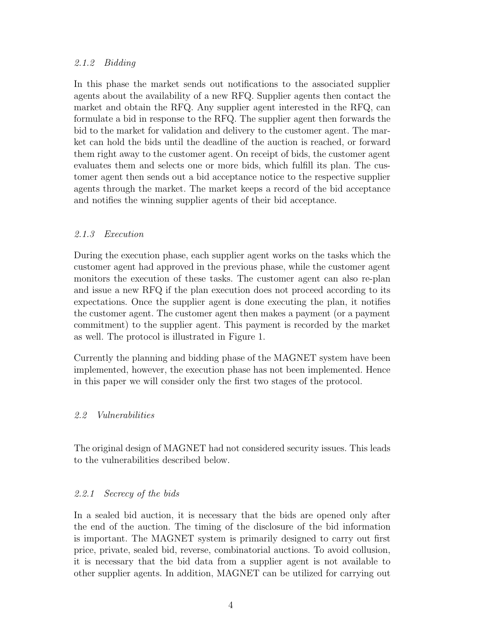## 2.1.2 Bidding

In this phase the market sends out notifications to the associated supplier agents about the availability of a new RFQ. Supplier agents then contact the market and obtain the RFQ. Any supplier agent interested in the RFQ, can formulate a bid in response to the RFQ. The supplier agent then forwards the bid to the market for validation and delivery to the customer agent. The market can hold the bids until the deadline of the auction is reached, or forward them right away to the customer agent. On receipt of bids, the customer agent evaluates them and selects one or more bids, which fulfill its plan. The customer agent then sends out a bid acceptance notice to the respective supplier agents through the market. The market keeps a record of the bid acceptance and notifies the winning supplier agents of their bid acceptance.

# 2.1.3 Execution

During the execution phase, each supplier agent works on the tasks which the customer agent had approved in the previous phase, while the customer agent monitors the execution of these tasks. The customer agent can also re-plan and issue a new RFQ if the plan execution does not proceed according to its expectations. Once the supplier agent is done executing the plan, it notifies the customer agent. The customer agent then makes a payment (or a payment commitment) to the supplier agent. This payment is recorded by the market as well. The protocol is illustrated in Figure 1.

Currently the planning and bidding phase of the MAGNET system have been implemented, however, the execution phase has not been implemented. Hence in this paper we will consider only the first two stages of the protocol.

## 2.2 Vulnerabilities

The original design of MAGNET had not considered security issues. This leads to the vulnerabilities described below.

## 2.2.1 Secrecy of the bids

In a sealed bid auction, it is necessary that the bids are opened only after the end of the auction. The timing of the disclosure of the bid information is important. The MAGNET system is primarily designed to carry out first price, private, sealed bid, reverse, combinatorial auctions. To avoid collusion, it is necessary that the bid data from a supplier agent is not available to other supplier agents. In addition, MAGNET can be utilized for carrying out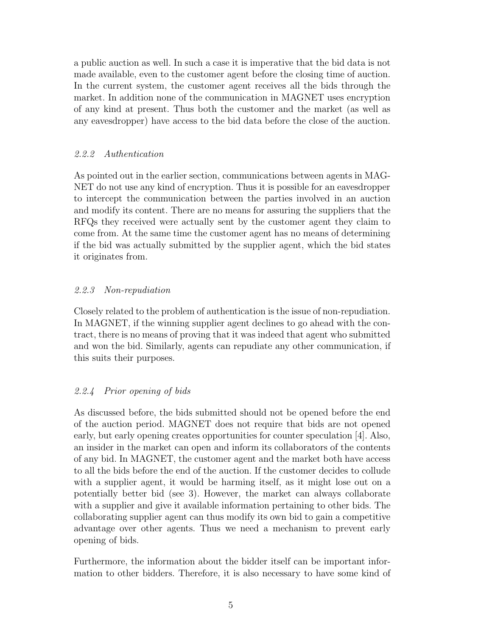a public auction as well. In such a case it is imperative that the bid data is not made available, even to the customer agent before the closing time of auction. In the current system, the customer agent receives all the bids through the market. In addition none of the communication in MAGNET uses encryption of any kind at present. Thus both the customer and the market (as well as any eavesdropper) have access to the bid data before the close of the auction.

## 2.2.2 Authentication

As pointed out in the earlier section, communications between agents in MAG-NET do not use any kind of encryption. Thus it is possible for an eavesdropper to intercept the communication between the parties involved in an auction and modify its content. There are no means for assuring the suppliers that the RFQs they received were actually sent by the customer agent they claim to come from. At the same time the customer agent has no means of determining if the bid was actually submitted by the supplier agent, which the bid states it originates from.

## 2.2.3 Non-repudiation

Closely related to the problem of authentication is the issue of non-repudiation. In MAGNET, if the winning supplier agent declines to go ahead with the contract, there is no means of proving that it was indeed that agent who submitted and won the bid. Similarly, agents can repudiate any other communication, if this suits their purposes.

# 2.2.4 Prior opening of bids

As discussed before, the bids submitted should not be opened before the end of the auction period. MAGNET does not require that bids are not opened early, but early opening creates opportunities for counter speculation [4]. Also, an insider in the market can open and inform its collaborators of the contents of any bid. In MAGNET, the customer agent and the market both have access to all the bids before the end of the auction. If the customer decides to collude with a supplier agent, it would be harming itself, as it might lose out on a potentially better bid (see 3). However, the market can always collaborate with a supplier and give it available information pertaining to other bids. The collaborating supplier agent can thus modify its own bid to gain a competitive advantage over other agents. Thus we need a mechanism to prevent early opening of bids.

Furthermore, the information about the bidder itself can be important information to other bidders. Therefore, it is also necessary to have some kind of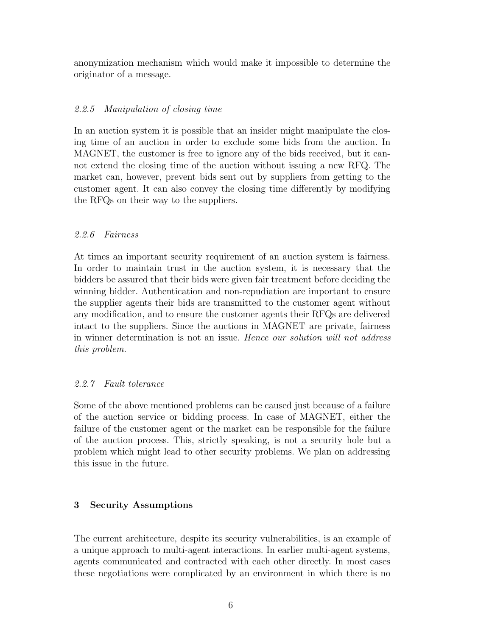anonymization mechanism which would make it impossible to determine the originator of a message.

# 2.2.5 Manipulation of closing time

In an auction system it is possible that an insider might manipulate the closing time of an auction in order to exclude some bids from the auction. In MAGNET, the customer is free to ignore any of the bids received, but it cannot extend the closing time of the auction without issuing a new RFQ. The market can, however, prevent bids sent out by suppliers from getting to the customer agent. It can also convey the closing time differently by modifying the RFQs on their way to the suppliers.

# 2.2.6 Fairness

At times an important security requirement of an auction system is fairness. In order to maintain trust in the auction system, it is necessary that the bidders be assured that their bids were given fair treatment before deciding the winning bidder. Authentication and non-repudiation are important to ensure the supplier agents their bids are transmitted to the customer agent without any modification, and to ensure the customer agents their RFQs are delivered intact to the suppliers. Since the auctions in MAGNET are private, fairness in winner determination is not an issue. Hence our solution will not address this problem.

# 2.2.7 Fault tolerance

Some of the above mentioned problems can be caused just because of a failure of the auction service or bidding process. In case of MAGNET, either the failure of the customer agent or the market can be responsible for the failure of the auction process. This, strictly speaking, is not a security hole but a problem which might lead to other security problems. We plan on addressing this issue in the future.

# 3 Security Assumptions

The current architecture, despite its security vulnerabilities, is an example of a unique approach to multi-agent interactions. In earlier multi-agent systems, agents communicated and contracted with each other directly. In most cases these negotiations were complicated by an environment in which there is no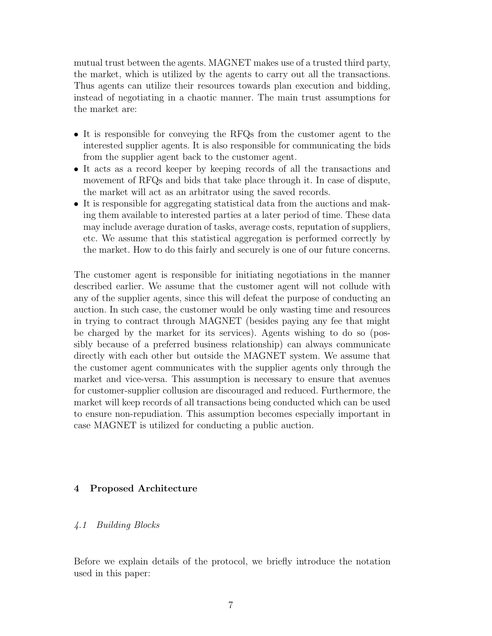mutual trust between the agents. MAGNET makes use of a trusted third party, the market, which is utilized by the agents to carry out all the transactions. Thus agents can utilize their resources towards plan execution and bidding, instead of negotiating in a chaotic manner. The main trust assumptions for the market are:

- It is responsible for conveying the RFQs from the customer agent to the interested supplier agents. It is also responsible for communicating the bids from the supplier agent back to the customer agent.
- It acts as a record keeper by keeping records of all the transactions and movement of RFQs and bids that take place through it. In case of dispute, the market will act as an arbitrator using the saved records.
- It is responsible for aggregating statistical data from the auctions and making them available to interested parties at a later period of time. These data may include average duration of tasks, average costs, reputation of suppliers, etc. We assume that this statistical aggregation is performed correctly by the market. How to do this fairly and securely is one of our future concerns.

The customer agent is responsible for initiating negotiations in the manner described earlier. We assume that the customer agent will not collude with any of the supplier agents, since this will defeat the purpose of conducting an auction. In such case, the customer would be only wasting time and resources in trying to contract through MAGNET (besides paying any fee that might be charged by the market for its services). Agents wishing to do so (possibly because of a preferred business relationship) can always communicate directly with each other but outside the MAGNET system. We assume that the customer agent communicates with the supplier agents only through the market and vice-versa. This assumption is necessary to ensure that avenues for customer-supplier collusion are discouraged and reduced. Furthermore, the market will keep records of all transactions being conducted which can be used to ensure non-repudiation. This assumption becomes especially important in case MAGNET is utilized for conducting a public auction.

## 4 Proposed Architecture

#### 4.1 Building Blocks

Before we explain details of the protocol, we briefly introduce the notation used in this paper: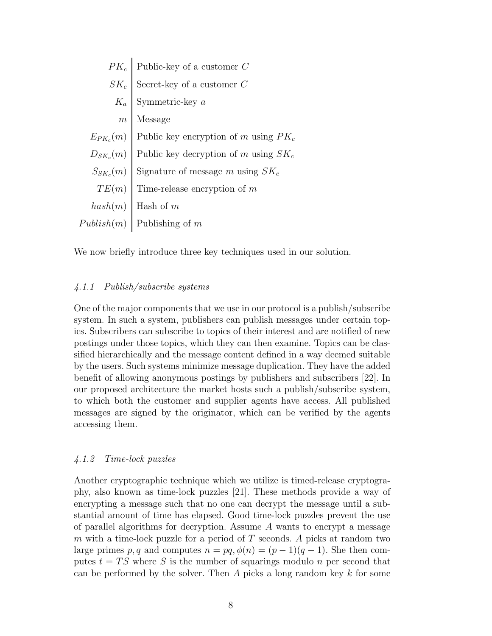|                  | $PK_c$ Public-key of a customer C                     |
|------------------|-------------------------------------------------------|
| $SK_c$           | Secret-key of a customer ${\cal C}$                   |
| $K_a$            | Symmetric-key $\boldsymbol{a}$                        |
| $\boldsymbol{m}$ | Message                                               |
|                  | $E_{PK_c}(m)$ Public key encryption of m using $PK_c$ |
|                  | $D_{SK_c}(m)$ Public key decryption of m using $SK_c$ |
| $S_{SK_c}(m)$    | Signature of message $m$ using $SK_c$                 |
| TE(m)            | Time-release encryption of $m$                        |
| hash(m)          | Hash of $m$                                           |
| Published(m)     | Publishing of $m$                                     |

We now briefly introduce three key techniques used in our solution.

#### 4.1.1 Publish/subscribe systems

One of the major components that we use in our protocol is a publish/subscribe system. In such a system, publishers can publish messages under certain topics. Subscribers can subscribe to topics of their interest and are notified of new postings under those topics, which they can then examine. Topics can be classified hierarchically and the message content defined in a way deemed suitable by the users. Such systems minimize message duplication. They have the added benefit of allowing anonymous postings by publishers and subscribers [22]. In our proposed architecture the market hosts such a publish/subscribe system, to which both the customer and supplier agents have access. All published messages are signed by the originator, which can be verified by the agents accessing them.

#### 4.1.2 Time-lock puzzles

Another cryptographic technique which we utilize is timed-release cryptography, also known as time-lock puzzles [21]. These methods provide a way of encrypting a message such that no one can decrypt the message until a substantial amount of time has elapsed. Good time-lock puzzles prevent the use of parallel algorithms for decryption. Assume  $A$  wants to encrypt a message m with a time-lock puzzle for a period of  $T$  seconds. A picks at random two large primes p, q and computes  $n = pq$ ,  $\phi(n) = (p-1)(q-1)$ . She then computes  $t = TS$  where S is the number of squarings modulo n per second that can be performed by the solver. Then  $A$  picks a long random key  $k$  for some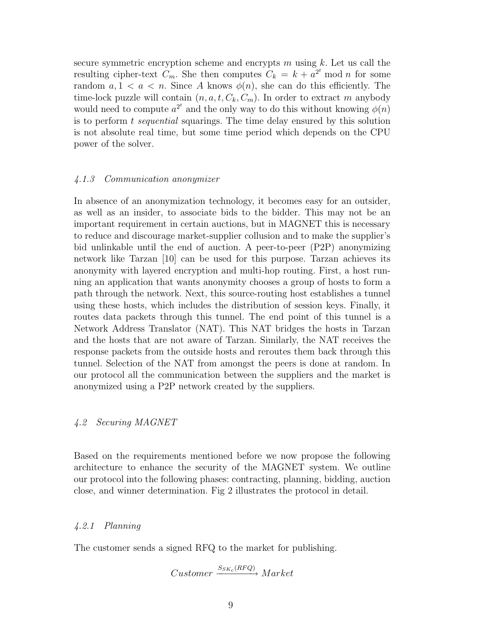secure symmetric encryption scheme and encrypts  $m$  using  $k$ . Let us call the resulting cipher-text  $C_m$ . She then computes  $C_k = k + a^{2^t} \mod n$  for some random  $a, 1 \lt a \lt n$ . Since A knows  $\phi(n)$ , she can do this efficiently. The time-lock puzzle will contain  $(n, a, t, C_k, C_m)$ . In order to extract m anybody would need to compute  $a^{2^t}$  and the only way to do this without knowing  $\phi(n)$ is to perform  $t$  sequential squarings. The time delay ensured by this solution is not absolute real time, but some time period which depends on the CPU power of the solver.

#### 4.1.3 Communication anonymizer

In absence of an anonymization technology, it becomes easy for an outsider, as well as an insider, to associate bids to the bidder. This may not be an important requirement in certain auctions, but in MAGNET this is necessary to reduce and discourage market-supplier collusion and to make the supplier's bid unlinkable until the end of auction. A peer-to-peer (P2P) anonymizing network like Tarzan [10] can be used for this purpose. Tarzan achieves its anonymity with layered encryption and multi-hop routing. First, a host running an application that wants anonymity chooses a group of hosts to form a path through the network. Next, this source-routing host establishes a tunnel using these hosts, which includes the distribution of session keys. Finally, it routes data packets through this tunnel. The end point of this tunnel is a Network Address Translator (NAT). This NAT bridges the hosts in Tarzan and the hosts that are not aware of Tarzan. Similarly, the NAT receives the response packets from the outside hosts and reroutes them back through this tunnel. Selection of the NAT from amongst the peers is done at random. In our protocol all the communication between the suppliers and the market is anonymized using a P2P network created by the suppliers.

#### 4.2 Securing MAGNET

Based on the requirements mentioned before we now propose the following architecture to enhance the security of the MAGNET system. We outline our protocol into the following phases: contracting, planning, bidding, auction close, and winner determination. Fig 2 illustrates the protocol in detail.

#### 4.2.1 Planning

The customer sends a signed RFQ to the market for publishing.

$$
Customer \xrightarrow{S_{SK_c}(RFQ)} Market
$$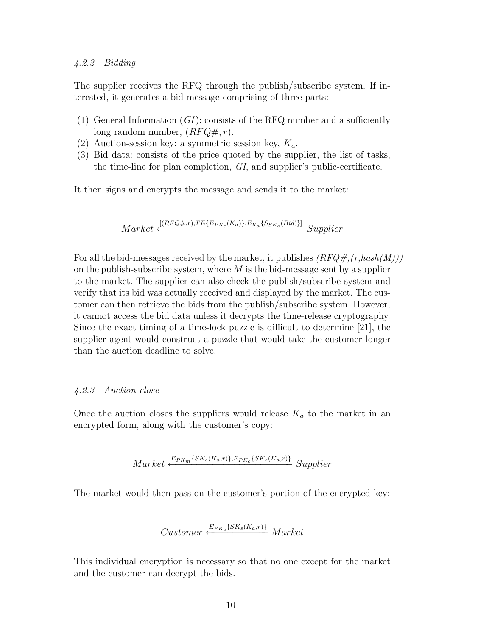## 4.2.2 Bidding

The supplier receives the RFQ through the publish/subscribe system. If interested, it generates a bid-message comprising of three parts:

- (1) General Information  $(GI)$ : consists of the RFQ number and a sufficiently long random number,  $(RFQ\#, r)$ .
- (2) Auction-session key: a symmetric session key,  $K_a$ .
- (3) Bid data: consists of the price quoted by the supplier, the list of tasks, the time-line for plan completion, GI, and supplier's public-certificate.

It then signs and encrypts the message and sends it to the market:

$$
Market \xleftarrow{\textcolor{blue}{[(RFQ\#,r),TE\{E_{PK_c}(K_a)\},E_{K_a}\{S_{SK_s}(Bid)\}]}}{Supplier}
$$

For all the bid-messages received by the market, it publishes  $(RFQ#,(r,hash(M)))$ on the publish-subscribe system, where  $M$  is the bid-message sent by a supplier to the market. The supplier can also check the publish/subscribe system and verify that its bid was actually received and displayed by the market. The customer can then retrieve the bids from the publish/subscribe system. However, it cannot access the bid data unless it decrypts the time-release cryptography. Since the exact timing of a time-lock puzzle is difficult to determine [21], the supplier agent would construct a puzzle that would take the customer longer than the auction deadline to solve.

## 4.2.3 Auction close

Once the auction closes the suppliers would release  $K_a$  to the market in an encrypted form, along with the customer's copy:

$$
Market \xleftarrow{E_{PK_m}\{SK_s(K_a,r)\}, E_{PK_c}\{SK_s(K_a,r)\}} \text{Supplier}
$$

The market would then pass on the customer's portion of the encrypted key:

$$
Customer \xleftarrow{E_{PKc}\{SK_s(K_a,r)\}} Market
$$

This individual encryption is necessary so that no one except for the market and the customer can decrypt the bids.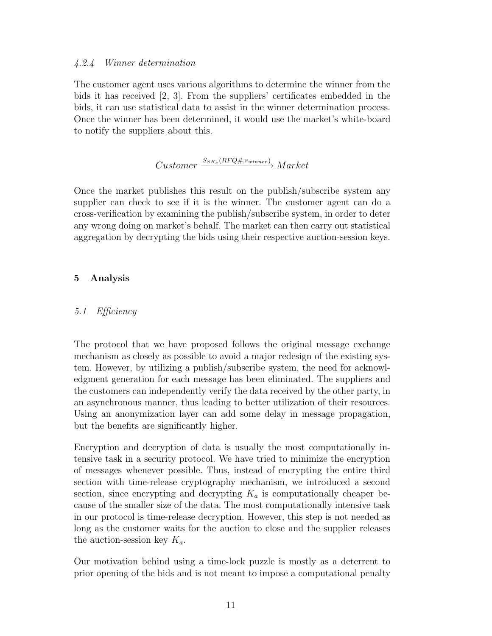### 4.2.4 Winner determination

The customer agent uses various algorithms to determine the winner from the bids it has received [2, 3]. From the suppliers' certificates embedded in the bids, it can use statistical data to assist in the winner determination process. Once the winner has been determined, it would use the market's white-board to notify the suppliers about this.

$$
Customer \xrightarrow{S_{SK_c}(RFQ\#,r_{winner})} Market
$$

Once the market publishes this result on the publish/subscribe system any supplier can check to see if it is the winner. The customer agent can do a cross-verification by examining the publish/subscribe system, in order to deter any wrong doing on market's behalf. The market can then carry out statistical aggregation by decrypting the bids using their respective auction-session keys.

## 5 Analysis

## 5.1 Efficiency

The protocol that we have proposed follows the original message exchange mechanism as closely as possible to avoid a major redesign of the existing system. However, by utilizing a publish/subscribe system, the need for acknowledgment generation for each message has been eliminated. The suppliers and the customers can independently verify the data received by the other party, in an asynchronous manner, thus leading to better utilization of their resources. Using an anonymization layer can add some delay in message propagation, but the benefits are significantly higher.

Encryption and decryption of data is usually the most computationally intensive task in a security protocol. We have tried to minimize the encryption of messages whenever possible. Thus, instead of encrypting the entire third section with time-release cryptography mechanism, we introduced a second section, since encrypting and decrypting  $K_a$  is computationally cheaper because of the smaller size of the data. The most computationally intensive task in our protocol is time-release decryption. However, this step is not needed as long as the customer waits for the auction to close and the supplier releases the auction-session key  $K_a$ .

Our motivation behind using a time-lock puzzle is mostly as a deterrent to prior opening of the bids and is not meant to impose a computational penalty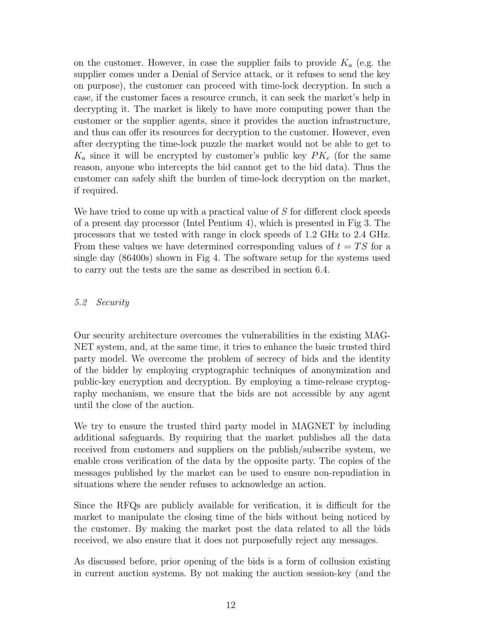on the customer. However, in case the supplier fails to provide  $K_a$  (e.g. the supplier comes under a Denial of Service attack, or it refuses to send the key on purpose), the customer can proceed with time-lock decryption. In such a case, if the customer faces a resource crunch, it can seek the market's help in decrypting it. The market is likely to have more computing power than the customer or the supplier agents, since it provides the auction infrastructure, and thus can offer its resources for decryption to the customer. However, even after decrypting the time-lock puzzle the market would not be able to get to  $K_a$  since it will be encrypted by customer's public key  $PK_c$  (for the same reason, anyone who intercepts the bid cannot get to the bid data). Thus the customer can safely shift the burden of time-lock decryption on the market, if required.

We have tried to come up with a practical value of S for different clock speeds of a present day processor (Intel Pentium 4), which is presented in Fig 3. The processors that we tested with range in clock speeds of 1.2 GHz to 2.4 GHz. From these values we have determined corresponding values of  $t = TS$  for a single day (86400s) shown in Fig 4. The software setup for the systems used to carry out the tests are the same as described in section 6.4.

# 5.2 Security

Our security architecture overcomes the vulnerabilities in the existing MAG-NET system, and, at the same time, it tries to enhance the basic trusted third party model. We overcome the problem of secrecy of bids and the identity of the bidder by employing cryptographic techniques of anonymization and public-key encryption and decryption. By employing a time-release cryptography mechanism, we ensure that the bids are not accessible by any agent until the close of the auction.

We try to ensure the trusted third party model in MAGNET by including additional safeguards. By requiring that the market publishes all the data received from customers and suppliers on the publish/subscribe system, we enable cross verification of the data by the opposite party. The copies of the messages published by the market can be used to ensure non-repudiation in situations where the sender refuses to acknowledge an action.

Since the RFQs are publicly available for verification, it is difficult for the market to manipulate the closing time of the bids without being noticed by the customer. By making the market post the data related to all the bids received, we also ensure that it does not purposefully reject any messages.

As discussed before, prior opening of the bids is a form of collusion existing in current auction systems. By not making the auction session-key (and the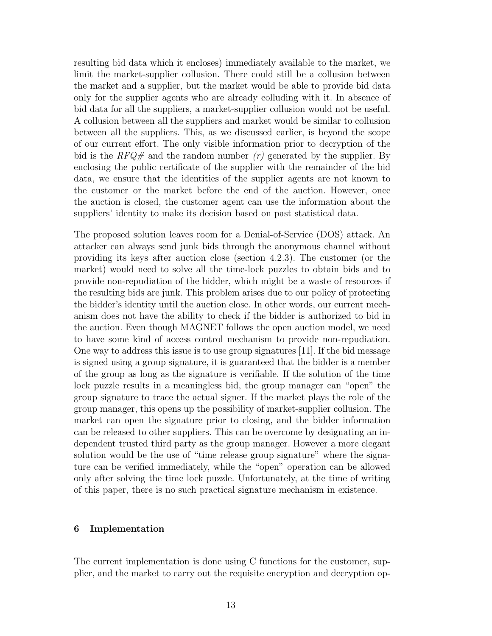resulting bid data which it encloses) immediately available to the market, we limit the market-supplier collusion. There could still be a collusion between the market and a supplier, but the market would be able to provide bid data only for the supplier agents who are already colluding with it. In absence of bid data for all the suppliers, a market-supplier collusion would not be useful. A collusion between all the suppliers and market would be similar to collusion between all the suppliers. This, as we discussed earlier, is beyond the scope of our current effort. The only visible information prior to decryption of the bid is the  $RFQ\neq$  and the random number  $(r)$  generated by the supplier. By enclosing the public certificate of the supplier with the remainder of the bid data, we ensure that the identities of the supplier agents are not known to the customer or the market before the end of the auction. However, once the auction is closed, the customer agent can use the information about the suppliers' identity to make its decision based on past statistical data.

The proposed solution leaves room for a Denial-of-Service (DOS) attack. An attacker can always send junk bids through the anonymous channel without providing its keys after auction close (section 4.2.3). The customer (or the market) would need to solve all the time-lock puzzles to obtain bids and to provide non-repudiation of the bidder, which might be a waste of resources if the resulting bids are junk. This problem arises due to our policy of protecting the bidder's identity until the auction close. In other words, our current mechanism does not have the ability to check if the bidder is authorized to bid in the auction. Even though MAGNET follows the open auction model, we need to have some kind of access control mechanism to provide non-repudiation. One way to address this issue is to use group signatures [11]. If the bid message is signed using a group signature, it is guaranteed that the bidder is a member of the group as long as the signature is verifiable. If the solution of the time lock puzzle results in a meaningless bid, the group manager can "open" the group signature to trace the actual signer. If the market plays the role of the group manager, this opens up the possibility of market-supplier collusion. The market can open the signature prior to closing, and the bidder information can be released to other suppliers. This can be overcome by designating an independent trusted third party as the group manager. However a more elegant solution would be the use of "time release group signature" where the signature can be verified immediately, while the "open" operation can be allowed only after solving the time lock puzzle. Unfortunately, at the time of writing of this paper, there is no such practical signature mechanism in existence.

## 6 Implementation

The current implementation is done using C functions for the customer, supplier, and the market to carry out the requisite encryption and decryption op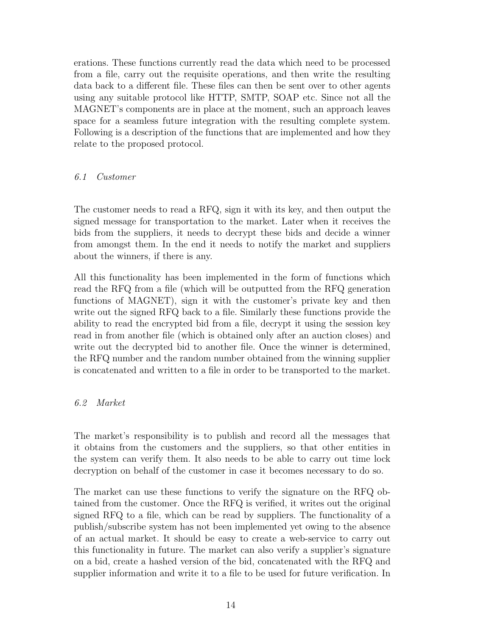erations. These functions currently read the data which need to be processed from a file, carry out the requisite operations, and then write the resulting data back to a different file. These files can then be sent over to other agents using any suitable protocol like HTTP, SMTP, SOAP etc. Since not all the MAGNET's components are in place at the moment, such an approach leaves space for a seamless future integration with the resulting complete system. Following is a description of the functions that are implemented and how they relate to the proposed protocol.

## 6.1 Customer

The customer needs to read a RFQ, sign it with its key, and then output the signed message for transportation to the market. Later when it receives the bids from the suppliers, it needs to decrypt these bids and decide a winner from amongst them. In the end it needs to notify the market and suppliers about the winners, if there is any.

All this functionality has been implemented in the form of functions which read the RFQ from a file (which will be outputted from the RFQ generation functions of MAGNET), sign it with the customer's private key and then write out the signed RFQ back to a file. Similarly these functions provide the ability to read the encrypted bid from a file, decrypt it using the session key read in from another file (which is obtained only after an auction closes) and write out the decrypted bid to another file. Once the winner is determined, the RFQ number and the random number obtained from the winning supplier is concatenated and written to a file in order to be transported to the market.

# 6.2 Market

The market's responsibility is to publish and record all the messages that it obtains from the customers and the suppliers, so that other entities in the system can verify them. It also needs to be able to carry out time lock decryption on behalf of the customer in case it becomes necessary to do so.

The market can use these functions to verify the signature on the RFQ obtained from the customer. Once the RFQ is verified, it writes out the original signed RFQ to a file, which can be read by suppliers. The functionality of a publish/subscribe system has not been implemented yet owing to the absence of an actual market. It should be easy to create a web-service to carry out this functionality in future. The market can also verify a supplier's signature on a bid, create a hashed version of the bid, concatenated with the RFQ and supplier information and write it to a file to be used for future verification. In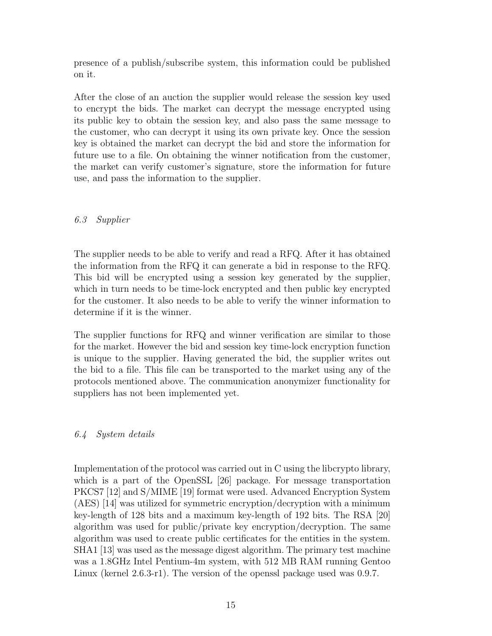presence of a publish/subscribe system, this information could be published on it.

After the close of an auction the supplier would release the session key used to encrypt the bids. The market can decrypt the message encrypted using its public key to obtain the session key, and also pass the same message to the customer, who can decrypt it using its own private key. Once the session key is obtained the market can decrypt the bid and store the information for future use to a file. On obtaining the winner notification from the customer, the market can verify customer's signature, store the information for future use, and pass the information to the supplier.

# 6.3 Supplier

The supplier needs to be able to verify and read a RFQ. After it has obtained the information from the RFQ it can generate a bid in response to the RFQ. This bid will be encrypted using a session key generated by the supplier, which in turn needs to be time-lock encrypted and then public key encrypted for the customer. It also needs to be able to verify the winner information to determine if it is the winner.

The supplier functions for RFQ and winner verification are similar to those for the market. However the bid and session key time-lock encryption function is unique to the supplier. Having generated the bid, the supplier writes out the bid to a file. This file can be transported to the market using any of the protocols mentioned above. The communication anonymizer functionality for suppliers has not been implemented yet.

## 6.4 System details

Implementation of the protocol was carried out in C using the libcrypto library, which is a part of the OpenSSL [26] package. For message transportation PKCS7 [12] and S/MIME [19] format were used. Advanced Encryption System (AES) [14] was utilized for symmetric encryption/decryption with a minimum key-length of 128 bits and a maximum key-length of 192 bits. The RSA [20] algorithm was used for public/private key encryption/decryption. The same algorithm was used to create public certificates for the entities in the system. SHA1 [13] was used as the message digest algorithm. The primary test machine was a 1.8GHz Intel Pentium-4m system, with 512 MB RAM running Gentoo Linux (kernel 2.6.3-r1). The version of the openssl package used was 0.9.7.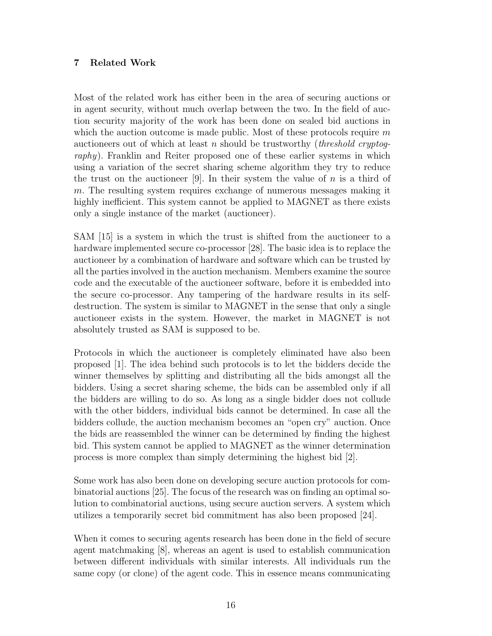# 7 Related Work

Most of the related work has either been in the area of securing auctions or in agent security, without much overlap between the two. In the field of auction security majority of the work has been done on sealed bid auctions in which the auction outcome is made public. Most of these protocols require  $m$ auctioneers out of which at least n should be trustworthy (*threshold cryptog*raphy). Franklin and Reiter proposed one of these earlier systems in which using a variation of the secret sharing scheme algorithm they try to reduce the trust on the auctioneer [9]. In their system the value of  $n$  is a third of m. The resulting system requires exchange of numerous messages making it highly inefficient. This system cannot be applied to MAGNET as there exists only a single instance of the market (auctioneer).

SAM [15] is a system in which the trust is shifted from the auctioneer to a hardware implemented secure co-processor [28]. The basic idea is to replace the auctioneer by a combination of hardware and software which can be trusted by all the parties involved in the auction mechanism. Members examine the source code and the executable of the auctioneer software, before it is embedded into the secure co-processor. Any tampering of the hardware results in its selfdestruction. The system is similar to MAGNET in the sense that only a single auctioneer exists in the system. However, the market in MAGNET is not absolutely trusted as SAM is supposed to be.

Protocols in which the auctioneer is completely eliminated have also been proposed [1]. The idea behind such protocols is to let the bidders decide the winner themselves by splitting and distributing all the bids amongst all the bidders. Using a secret sharing scheme, the bids can be assembled only if all the bidders are willing to do so. As long as a single bidder does not collude with the other bidders, individual bids cannot be determined. In case all the bidders collude, the auction mechanism becomes an "open cry" auction. Once the bids are reassembled the winner can be determined by finding the highest bid. This system cannot be applied to MAGNET as the winner determination process is more complex than simply determining the highest bid [2].

Some work has also been done on developing secure auction protocols for combinatorial auctions [25]. The focus of the research was on finding an optimal solution to combinatorial auctions, using secure auction servers. A system which utilizes a temporarily secret bid commitment has also been proposed [24].

When it comes to securing agents research has been done in the field of secure agent matchmaking [8], whereas an agent is used to establish communication between different individuals with similar interests. All individuals run the same copy (or clone) of the agent code. This in essence means communicating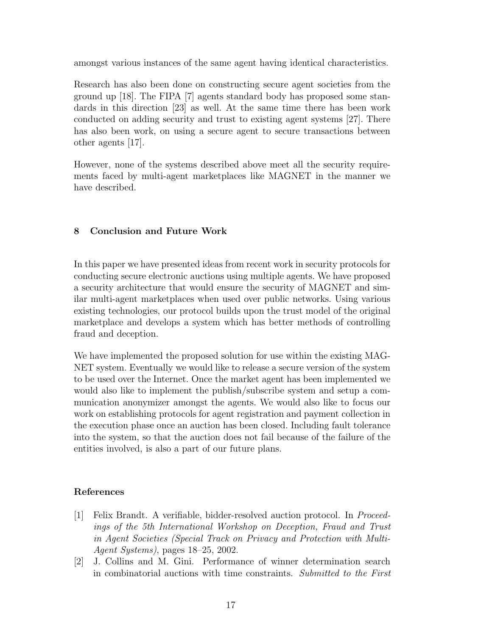amongst various instances of the same agent having identical characteristics.

Research has also been done on constructing secure agent societies from the ground up [18]. The FIPA [7] agents standard body has proposed some standards in this direction [23] as well. At the same time there has been work conducted on adding security and trust to existing agent systems [27]. There has also been work, on using a secure agent to secure transactions between other agents [17].

However, none of the systems described above meet all the security requirements faced by multi-agent marketplaces like MAGNET in the manner we have described.

# 8 Conclusion and Future Work

In this paper we have presented ideas from recent work in security protocols for conducting secure electronic auctions using multiple agents. We have proposed a security architecture that would ensure the security of MAGNET and similar multi-agent marketplaces when used over public networks. Using various existing technologies, our protocol builds upon the trust model of the original marketplace and develops a system which has better methods of controlling fraud and deception.

We have implemented the proposed solution for use within the existing MAG-NET system. Eventually we would like to release a secure version of the system to be used over the Internet. Once the market agent has been implemented we would also like to implement the publish/subscribe system and setup a communication anonymizer amongst the agents. We would also like to focus our work on establishing protocols for agent registration and payment collection in the execution phase once an auction has been closed. Including fault tolerance into the system, so that the auction does not fail because of the failure of the entities involved, is also a part of our future plans.

# References

- [1] Felix Brandt. A verifiable, bidder-resolved auction protocol. In Proceedings of the 5th International Workshop on Deception, Fraud and Trust in Agent Societies (Special Track on Privacy and Protection with Multi-Agent Systems), pages 18–25, 2002.
- [2] J. Collins and M. Gini. Performance of winner determination search in combinatorial auctions with time constraints. Submitted to the First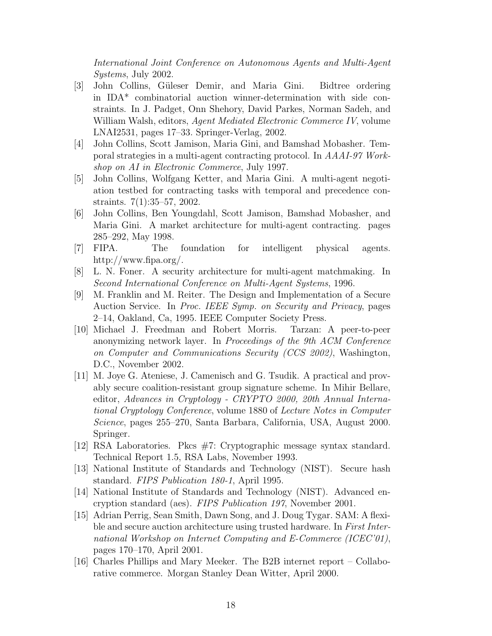International Joint Conference on Autonomous Agents and Multi-Agent Systems, July 2002.

- [3] John Collins, Güleser Demir, and Maria Gini. Bidtree ordering in IDA\* combinatorial auction winner-determination with side constraints. In J. Padget, Onn Shehory, David Parkes, Norman Sadeh, and William Walsh, editors, *Agent Mediated Electronic Commerce IV*, volume LNAI2531, pages 17–33. Springer-Verlag, 2002.
- [4] John Collins, Scott Jamison, Maria Gini, and Bamshad Mobasher. Temporal strategies in a multi-agent contracting protocol. In AAAI-97 Workshop on AI in Electronic Commerce, July 1997.
- [5] John Collins, Wolfgang Ketter, and Maria Gini. A multi-agent negotiation testbed for contracting tasks with temporal and precedence constraints. 7(1):35–57, 2002.
- [6] John Collins, Ben Youngdahl, Scott Jamison, Bamshad Mobasher, and Maria Gini. A market architecture for multi-agent contracting. pages 285–292, May 1998.
- [7] FIPA. The foundation for intelligent physical agents. http://www.fipa.org/.
- [8] L. N. Foner. A security architecture for multi-agent matchmaking. In Second International Conference on Multi-Agent Systems, 1996.
- [9] M. Franklin and M. Reiter. The Design and Implementation of a Secure Auction Service. In Proc. IEEE Symp. on Security and Privacy, pages 2–14, Oakland, Ca, 1995. IEEE Computer Society Press.
- [10] Michael J. Freedman and Robert Morris. Tarzan: A peer-to-peer anonymizing network layer. In Proceedings of the 9th ACM Conference on Computer and Communications Security (CCS 2002), Washington, D.C., November 2002.
- [11] M. Joye G. Ateniese, J. Camenisch and G. Tsudik. A practical and provably secure coalition-resistant group signature scheme. In Mihir Bellare, editor, Advances in Cryptology - CRYPTO 2000, 20th Annual International Cryptology Conference, volume 1880 of Lecture Notes in Computer Science, pages 255–270, Santa Barbara, California, USA, August 2000. Springer.
- [12] RSA Laboratories. Pkcs #7: Cryptographic message syntax standard. Technical Report 1.5, RSA Labs, November 1993.
- [13] National Institute of Standards and Technology (NIST). Secure hash standard. FIPS Publication 180-1, April 1995.
- [14] National Institute of Standards and Technology (NIST). Advanced encryption standard (aes). FIPS Publication 197, November 2001.
- [15] Adrian Perrig, Sean Smith, Dawn Song, and J. Doug Tygar. SAM: A flexible and secure auction architecture using trusted hardware. In First International Workshop on Internet Computing and E-Commerce (ICEC'01), pages 170–170, April 2001.
- [16] Charles Phillips and Mary Meeker. The B2B internet report Collaborative commerce. Morgan Stanley Dean Witter, April 2000.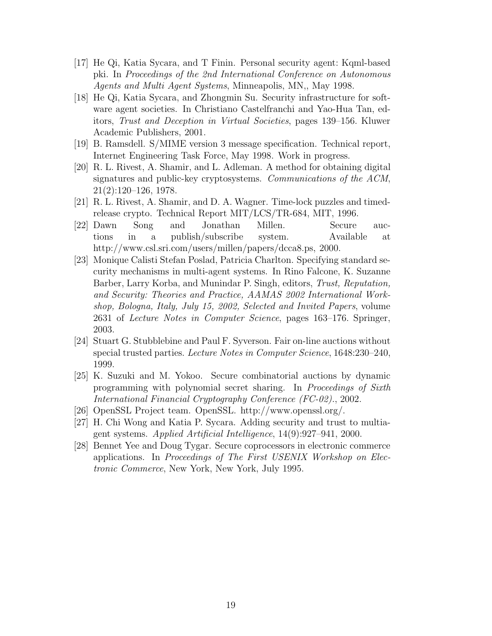- [17] He Qi, Katia Sycara, and T Finin. Personal security agent: Kqml-based pki. In Proceedings of the 2nd International Conference on Autonomous Agents and Multi Agent Systems, Minneapolis, MN,, May 1998.
- [18] He Qi, Katia Sycara, and Zhongmin Su. Security infrastructure for software agent societies. In Christiano Castelfranchi and Yao-Hua Tan, editors, Trust and Deception in Virtual Societies, pages 139–156. Kluwer Academic Publishers, 2001.
- [19] B. Ramsdell. S/MIME version 3 message specification. Technical report, Internet Engineering Task Force, May 1998. Work in progress.
- [20] R. L. Rivest, A. Shamir, and L. Adleman. A method for obtaining digital signatures and public-key cryptosystems. Communications of the ACM, 21(2):120–126, 1978.
- [21] R. L. Rivest, A. Shamir, and D. A. Wagner. Time-lock puzzles and timedrelease crypto. Technical Report MIT/LCS/TR-684, MIT, 1996.
- [22] Dawn Song and Jonathan Millen. Secure auctions in a publish/subscribe system. Available at http://www.csl.sri.com/users/millen/papers/dcca8.ps, 2000.
- [23] Monique Calisti Stefan Poslad, Patricia Charlton. Specifying standard security mechanisms in multi-agent systems. In Rino Falcone, K. Suzanne Barber, Larry Korba, and Munindar P. Singh, editors, Trust, Reputation, and Security: Theories and Practice, AAMAS 2002 International Workshop, Bologna, Italy, July 15, 2002, Selected and Invited Papers, volume 2631 of Lecture Notes in Computer Science, pages 163–176. Springer, 2003.
- [24] Stuart G. Stubblebine and Paul F. Syverson. Fair on-line auctions without special trusted parties. Lecture Notes in Computer Science, 1648:230–240, 1999.
- [25] K. Suzuki and M. Yokoo. Secure combinatorial auctions by dynamic programming with polynomial secret sharing. In Proceedings of Sixth International Financial Cryptography Conference (FC-02)., 2002.
- [26] OpenSSL Project team. OpenSSL. http://www.openssl.org/.
- [27] H. Chi Wong and Katia P. Sycara. Adding security and trust to multiagent systems. Applied Artificial Intelligence, 14(9):927–941, 2000.
- [28] Bennet Yee and Doug Tygar. Secure coprocessors in electronic commerce applications. In Proceedings of The First USENIX Workshop on Electronic Commerce, New York, New York, July 1995.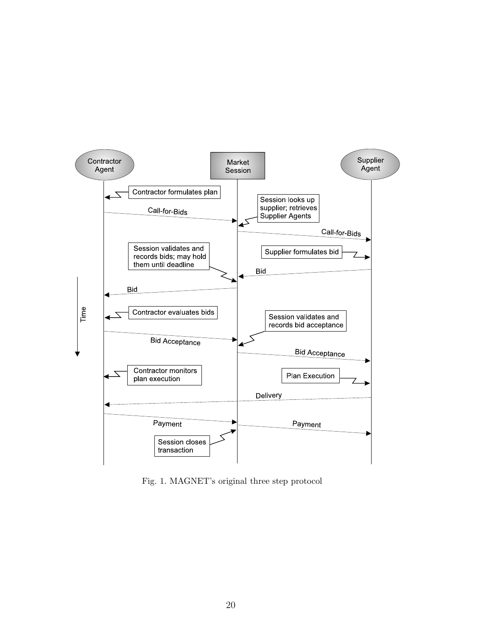

Fig. 1. MAGNET's original three step protocol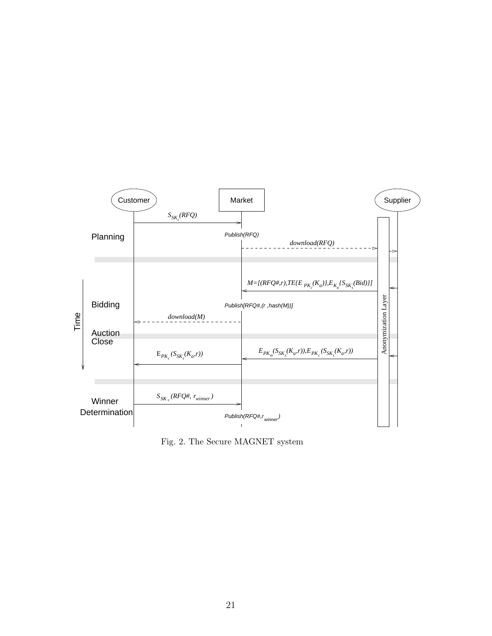

Fig. 2. The Secure MAGNET system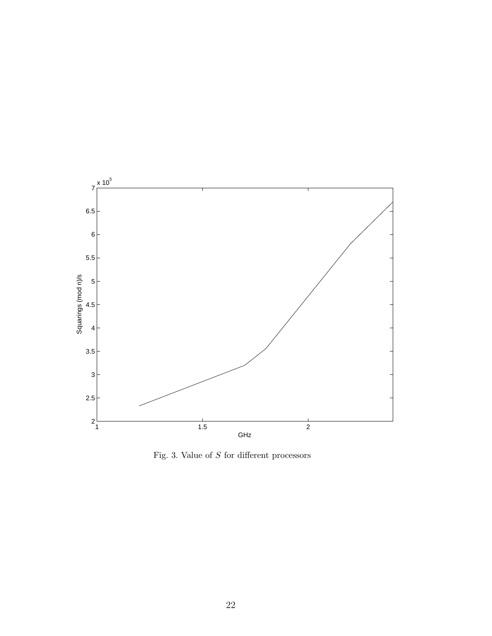

Fig. 3. Value of  $S$  for different processors